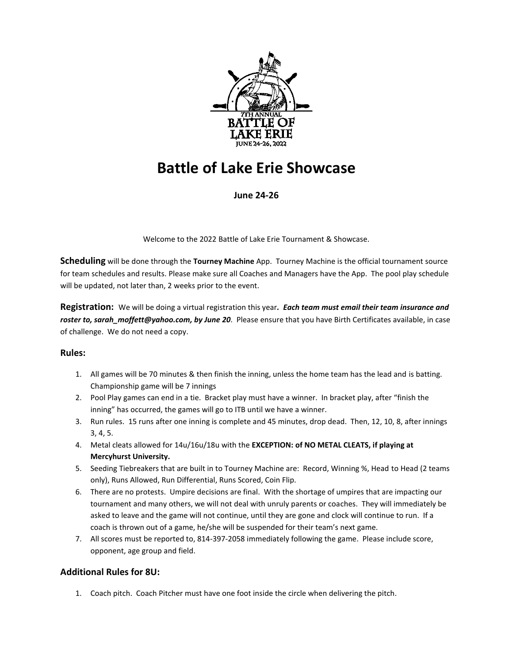

# **Battle of Lake Erie Showcase**

# **June 24-26**

Welcome to the 2022 Battle of Lake Erie Tournament & Showcase.

**Scheduling** will be done through the **Tourney Machine** App. Tourney Machine is the official tournament source for team schedules and results. Please make sure all Coaches and Managers have the App. The pool play schedule will be updated, not later than, 2 weeks prior to the event.

**Registration:** We will be doing a virtual registration this year*. Each team must email their team insurance and*  roster to, sarah moffett@yahoo.com, by June 20. Please ensure that you have Birth Certificates available, in case of challenge. We do not need a copy.

## **Rules:**

- 1. All games will be 70 minutes & then finish the inning, unless the home team has the lead and is batting. Championship game will be 7 innings
- 2. Pool Play games can end in a tie. Bracket play must have a winner. In bracket play, after "finish the inning" has occurred, the games will go to ITB until we have a winner.
- 3. Run rules. 15 runs after one inning is complete and 45 minutes, drop dead. Then, 12, 10, 8, after innings 3, 4, 5.
- 4. Metal cleats allowed for 14u/16u/18u with the **EXCEPTION: of NO METAL CLEATS, if playing at Mercyhurst University.**
- 5. Seeding Tiebreakers that are built in to Tourney Machine are: Record, Winning %, Head to Head (2 teams only), Runs Allowed, Run Differential, Runs Scored, Coin Flip.
- 6. There are no protests. Umpire decisions are final. With the shortage of umpires that are impacting our tournament and many others, we will not deal with unruly parents or coaches. They will immediately be asked to leave and the game will not continue, until they are gone and clock will continue to run. If a coach is thrown out of a game, he/she will be suspended for their team's next game.
- 7. All scores must be reported to, 814-397-2058 immediately following the game. Please include score, opponent, age group and field.

# **Additional Rules for 8U:**

1. Coach pitch. Coach Pitcher must have one foot inside the circle when delivering the pitch.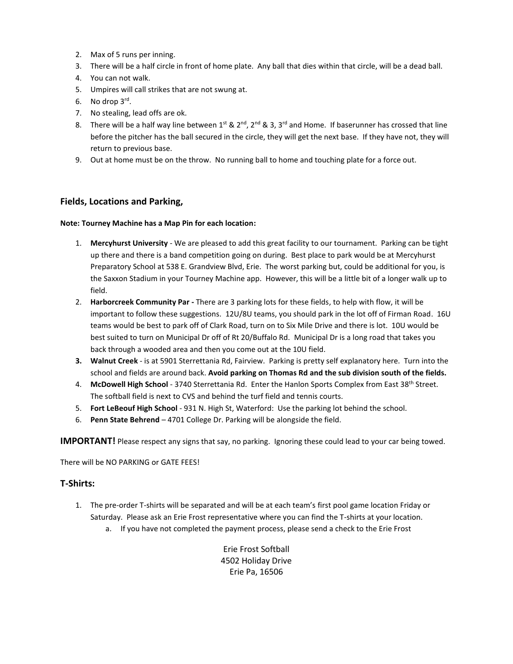- 2. Max of 5 runs per inning.
- 3. There will be a half circle in front of home plate. Any ball that dies within that circle, will be a dead ball.
- 4. You can not walk.
- 5. Umpires will call strikes that are not swung at.
- 6. No drop 3rd .
- 7. No stealing, lead offs are ok.
- 8. There will be a half way line between  $1^{st}$  &  $2^{nd}$ ,  $2^{nd}$  & 3,  $3^{rd}$  and Home. If baserunner has crossed that line before the pitcher has the ball secured in the circle, they will get the next base. If they have not, they will return to previous base.
- 9. Out at home must be on the throw. No running ball to home and touching plate for a force out.

#### **Fields, Locations and Parking,**

#### **Note: Tourney Machine has a Map Pin for each location:**

- 1. **Mercyhurst University** We are pleased to add this great facility to our tournament. Parking can be tight up there and there is a band competition going on during. Best place to park would be at Mercyhurst Preparatory School at 538 E. Grandview Blvd, Erie. The worst parking but, could be additional for you, is the Saxxon Stadium in your Tourney Machine app. However, this will be a little bit of a longer walk up to field.
- 2. **Harborcreek Community Par -** There are 3 parking lots for these fields, to help with flow, it will be important to follow these suggestions. 12U/8U teams, you should park in the lot off of Firman Road. 16U teams would be best to park off of Clark Road, turn on to Six Mile Drive and there is lot. 10U would be best suited to turn on Municipal Dr off of Rt 20/Buffalo Rd. Municipal Dr is a long road that takes you back through a wooded area and then you come out at the 10U field.
- **3. Walnut Creek** is at 5901 Sterrettania Rd, Fairview. Parking is pretty self explanatory here. Turn into the school and fields are around back. **Avoid parking on Thomas Rd and the sub division south of the fields.**
- 4. **McDowell High School** 3740 Sterrettania Rd. Enter the Hanlon Sports Complex from East 38th Street. The softball field is next to CVS and behind the turf field and tennis courts.
- 5. **Fort LeBeouf High School** 931 N. High St, Waterford: Use the parking lot behind the school.
- 6. **Penn State Behrend**  4701 College Dr. Parking will be alongside the field.

**IMPORTANT!** Please respect any signs that say, no parking. Ignoring these could lead to your car being towed.

There will be NO PARKING or GATE FEES!

## **T-Shirts:**

- 1. The pre-order T-shirts will be separated and will be at each team's first pool game location Friday or Saturday. Please ask an Erie Frost representative where you can find the T-shirts at your location.
	- a. If you have not completed the payment process, please send a check to the Erie Frost

Erie Frost Softball 4502 Holiday Drive Erie Pa, 16506